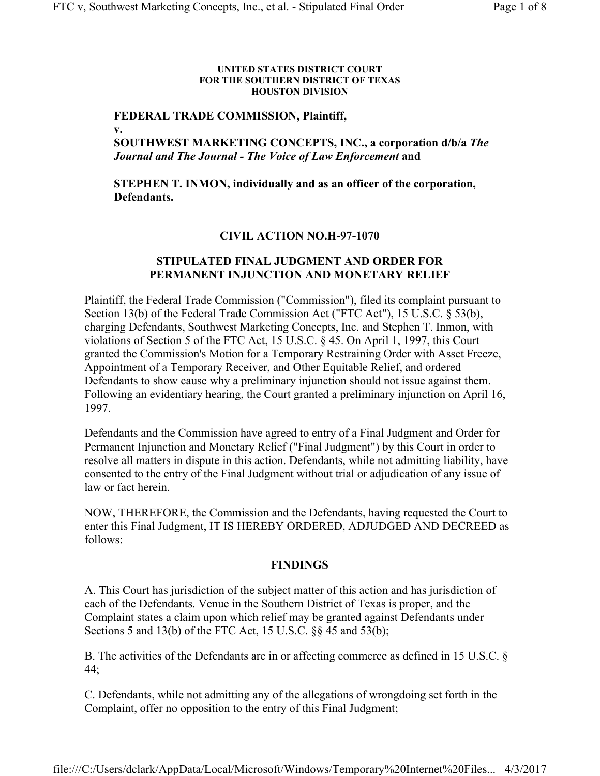#### **UNITED STATES DISTRICT COURT FOR THE SOUTHERN DISTRICT OF TEXAS HOUSTON DIVISION**

#### **FEDERAL TRADE COMMISSION, Plaintiff, v.**

# **SOUTHWEST MARKETING CONCEPTS, INC., a corporation d/b/a** *The Journal and The Journal - The Voice of Law Enforcement* **and**

# **STEPHEN T. INMON, individually and as an officer of the corporation, Defendants.**

## **CIVIL ACTION NO.H-97-1070**

## **STIPULATED FINAL JUDGMENT AND ORDER FOR PERMANENT INJUNCTION AND MONETARY RELIEF**

Plaintiff, the Federal Trade Commission ("Commission"), filed its complaint pursuant to Section 13(b) of the Federal Trade Commission Act ("FTC Act"), 15 U.S.C. § 53(b), charging Defendants, Southwest Marketing Concepts, Inc. and Stephen T. Inmon, with violations of Section 5 of the FTC Act, 15 U.S.C. § 45. On April 1, 1997, this Court granted the Commission's Motion for a Temporary Restraining Order with Asset Freeze, Appointment of a Temporary Receiver, and Other Equitable Relief, and ordered Defendants to show cause why a preliminary injunction should not issue against them. Following an evidentiary hearing, the Court granted a preliminary injunction on April 16, 1997.

Defendants and the Commission have agreed to entry of a Final Judgment and Order for Permanent Injunction and Monetary Relief ("Final Judgment") by this Court in order to resolve all matters in dispute in this action. Defendants, while not admitting liability, have consented to the entry of the Final Judgment without trial or adjudication of any issue of law or fact herein.

NOW, THEREFORE, the Commission and the Defendants, having requested the Court to enter this Final Judgment, IT IS HEREBY ORDERED, ADJUDGED AND DECREED as follows:

## **FINDINGS**

A. This Court has jurisdiction of the subject matter of this action and has jurisdiction of each of the Defendants. Venue in the Southern District of Texas is proper, and the Complaint states a claim upon which relief may be granted against Defendants under Sections 5 and 13(b) of the FTC Act, 15 U.S.C. §§ 45 and 53(b);

B. The activities of the Defendants are in or affecting commerce as defined in 15 U.S.C. § 44;

C. Defendants, while not admitting any of the allegations of wrongdoing set forth in the Complaint, offer no opposition to the entry of this Final Judgment;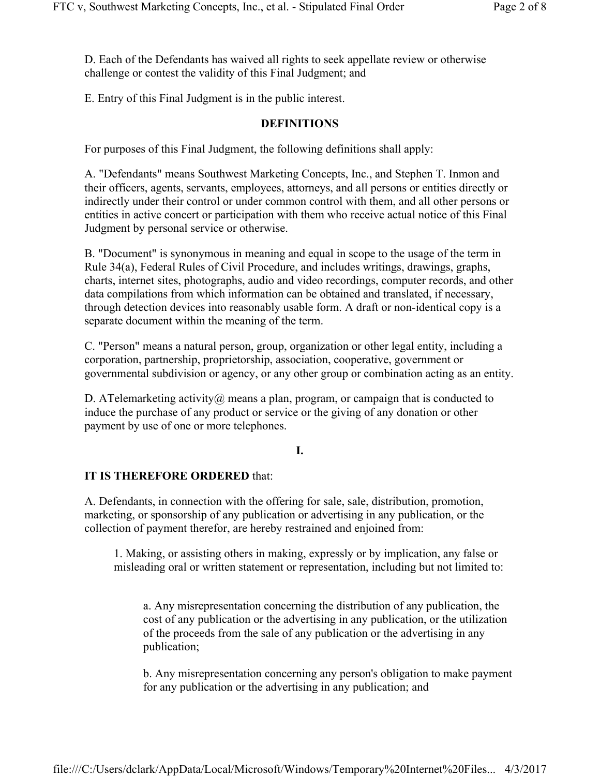D. Each of the Defendants has waived all rights to seek appellate review or otherwise challenge or contest the validity of this Final Judgment; and

E. Entry of this Final Judgment is in the public interest.

### **DEFINITIONS**

For purposes of this Final Judgment, the following definitions shall apply:

A. "Defendants" means Southwest Marketing Concepts, Inc., and Stephen T. Inmon and their officers, agents, servants, employees, attorneys, and all persons or entities directly or indirectly under their control or under common control with them, and all other persons or entities in active concert or participation with them who receive actual notice of this Final Judgment by personal service or otherwise.

B. "Document" is synonymous in meaning and equal in scope to the usage of the term in Rule 34(a), Federal Rules of Civil Procedure, and includes writings, drawings, graphs, charts, internet sites, photographs, audio and video recordings, computer records, and other data compilations from which information can be obtained and translated, if necessary, through detection devices into reasonably usable form. A draft or non-identical copy is a separate document within the meaning of the term.

C. "Person" means a natural person, group, organization or other legal entity, including a corporation, partnership, proprietorship, association, cooperative, government or governmental subdivision or agency, or any other group or combination acting as an entity.

D. ATelemarketing activity $@$  means a plan, program, or campaign that is conducted to induce the purchase of any product or service or the giving of any donation or other payment by use of one or more telephones.

### **I.**

# **IT IS THEREFORE ORDERED** that:

A. Defendants, in connection with the offering for sale, sale, distribution, promotion, marketing, or sponsorship of any publication or advertising in any publication, or the collection of payment therefor, are hereby restrained and enjoined from:

1. Making, or assisting others in making, expressly or by implication, any false or misleading oral or written statement or representation, including but not limited to:

a. Any misrepresentation concerning the distribution of any publication, the cost of any publication or the advertising in any publication, or the utilization of the proceeds from the sale of any publication or the advertising in any publication;

b. Any misrepresentation concerning any person's obligation to make payment for any publication or the advertising in any publication; and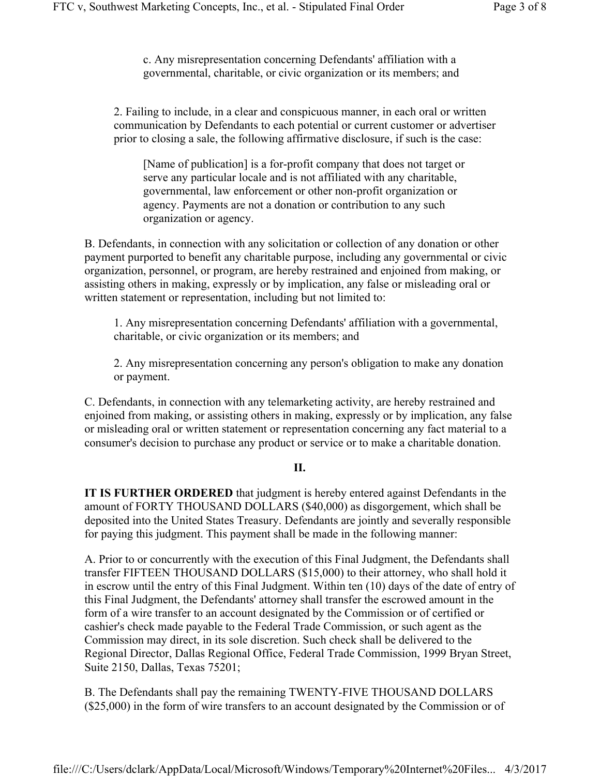c. Any misrepresentation concerning Defendants' affiliation with a governmental, charitable, or civic organization or its members; and

2. Failing to include, in a clear and conspicuous manner, in each oral or written communication by Defendants to each potential or current customer or advertiser prior to closing a sale, the following affirmative disclosure, if such is the case:

[Name of publication] is a for-profit company that does not target or serve any particular locale and is not affiliated with any charitable, governmental, law enforcement or other non-profit organization or agency. Payments are not a donation or contribution to any such organization or agency.

B. Defendants, in connection with any solicitation or collection of any donation or other payment purported to benefit any charitable purpose, including any governmental or civic organization, personnel, or program, are hereby restrained and enjoined from making, or assisting others in making, expressly or by implication, any false or misleading oral or written statement or representation, including but not limited to:

1. Any misrepresentation concerning Defendants' affiliation with a governmental, charitable, or civic organization or its members; and

2. Any misrepresentation concerning any person's obligation to make any donation or payment.

C. Defendants, in connection with any telemarketing activity, are hereby restrained and enjoined from making, or assisting others in making, expressly or by implication, any false or misleading oral or written statement or representation concerning any fact material to a consumer's decision to purchase any product or service or to make a charitable donation.

## **II.**

**IT IS FURTHER ORDERED** that judgment is hereby entered against Defendants in the amount of FORTY THOUSAND DOLLARS (\$40,000) as disgorgement, which shall be deposited into the United States Treasury. Defendants are jointly and severally responsible for paying this judgment. This payment shall be made in the following manner:

A. Prior to or concurrently with the execution of this Final Judgment, the Defendants shall transfer FIFTEEN THOUSAND DOLLARS (\$15,000) to their attorney, who shall hold it in escrow until the entry of this Final Judgment. Within ten (10) days of the date of entry of this Final Judgment, the Defendants' attorney shall transfer the escrowed amount in the form of a wire transfer to an account designated by the Commission or of certified or cashier's check made payable to the Federal Trade Commission, or such agent as the Commission may direct, in its sole discretion. Such check shall be delivered to the Regional Director, Dallas Regional Office, Federal Trade Commission, 1999 Bryan Street, Suite 2150, Dallas, Texas 75201;

B. The Defendants shall pay the remaining TWENTY-FIVE THOUSAND DOLLARS (\$25,000) in the form of wire transfers to an account designated by the Commission or of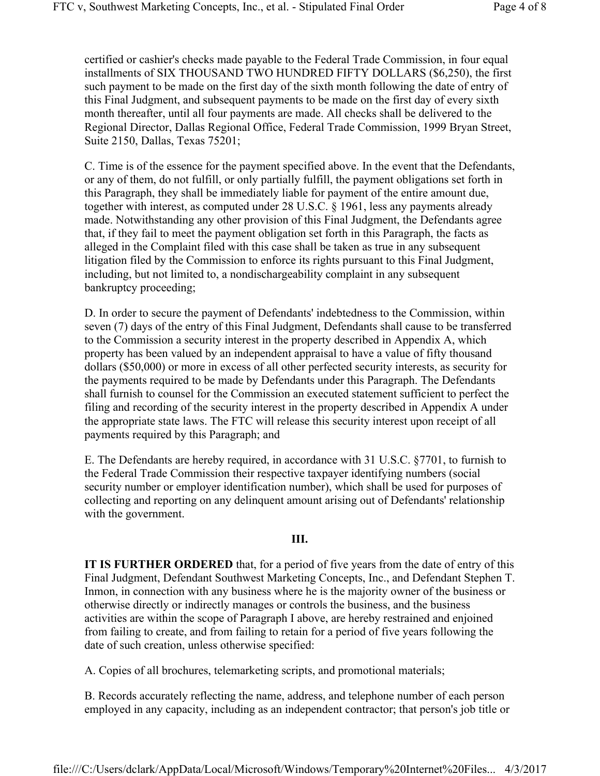certified or cashier's checks made payable to the Federal Trade Commission, in four equal installments of SIX THOUSAND TWO HUNDRED FIFTY DOLLARS (\$6,250), the first such payment to be made on the first day of the sixth month following the date of entry of this Final Judgment, and subsequent payments to be made on the first day of every sixth month thereafter, until all four payments are made. All checks shall be delivered to the Regional Director, Dallas Regional Office, Federal Trade Commission, 1999 Bryan Street, Suite 2150, Dallas, Texas 75201;

C. Time is of the essence for the payment specified above. In the event that the Defendants, or any of them, do not fulfill, or only partially fulfill, the payment obligations set forth in this Paragraph, they shall be immediately liable for payment of the entire amount due, together with interest, as computed under 28 U.S.C. § 1961, less any payments already made. Notwithstanding any other provision of this Final Judgment, the Defendants agree that, if they fail to meet the payment obligation set forth in this Paragraph, the facts as alleged in the Complaint filed with this case shall be taken as true in any subsequent litigation filed by the Commission to enforce its rights pursuant to this Final Judgment, including, but not limited to, a nondischargeability complaint in any subsequent bankruptcy proceeding;

D. In order to secure the payment of Defendants' indebtedness to the Commission, within seven (7) days of the entry of this Final Judgment, Defendants shall cause to be transferred to the Commission a security interest in the property described in Appendix A, which property has been valued by an independent appraisal to have a value of fifty thousand dollars (\$50,000) or more in excess of all other perfected security interests, as security for the payments required to be made by Defendants under this Paragraph. The Defendants shall furnish to counsel for the Commission an executed statement sufficient to perfect the filing and recording of the security interest in the property described in Appendix A under the appropriate state laws. The FTC will release this security interest upon receipt of all payments required by this Paragraph; and

E. The Defendants are hereby required, in accordance with 31 U.S.C. §7701, to furnish to the Federal Trade Commission their respective taxpayer identifying numbers (social security number or employer identification number), which shall be used for purposes of collecting and reporting on any delinquent amount arising out of Defendants' relationship with the government.

### **III.**

**IT IS FURTHER ORDERED** that, for a period of five years from the date of entry of this Final Judgment, Defendant Southwest Marketing Concepts, Inc., and Defendant Stephen T. Inmon, in connection with any business where he is the majority owner of the business or otherwise directly or indirectly manages or controls the business, and the business activities are within the scope of Paragraph I above, are hereby restrained and enjoined from failing to create, and from failing to retain for a period of five years following the date of such creation, unless otherwise specified:

A. Copies of all brochures, telemarketing scripts, and promotional materials;

B. Records accurately reflecting the name, address, and telephone number of each person employed in any capacity, including as an independent contractor; that person's job title or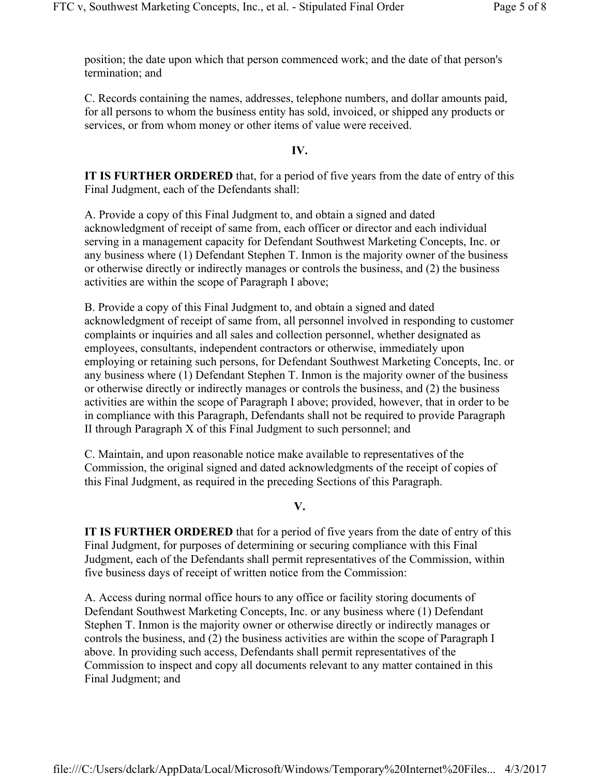position; the date upon which that person commenced work; and the date of that person's termination; and

C. Records containing the names, addresses, telephone numbers, and dollar amounts paid, for all persons to whom the business entity has sold, invoiced, or shipped any products or services, or from whom money or other items of value were received.

### **IV.**

**IT IS FURTHER ORDERED** that, for a period of five years from the date of entry of this Final Judgment, each of the Defendants shall:

A. Provide a copy of this Final Judgment to, and obtain a signed and dated acknowledgment of receipt of same from, each officer or director and each individual serving in a management capacity for Defendant Southwest Marketing Concepts, Inc. or any business where (1) Defendant Stephen T. Inmon is the majority owner of the business or otherwise directly or indirectly manages or controls the business, and (2) the business activities are within the scope of Paragraph I above;

B. Provide a copy of this Final Judgment to, and obtain a signed and dated acknowledgment of receipt of same from, all personnel involved in responding to customer complaints or inquiries and all sales and collection personnel, whether designated as employees, consultants, independent contractors or otherwise, immediately upon employing or retaining such persons, for Defendant Southwest Marketing Concepts, Inc. or any business where (1) Defendant Stephen T. Inmon is the majority owner of the business or otherwise directly or indirectly manages or controls the business, and (2) the business activities are within the scope of Paragraph I above; provided, however, that in order to be in compliance with this Paragraph, Defendants shall not be required to provide Paragraph II through Paragraph X of this Final Judgment to such personnel; and

C. Maintain, and upon reasonable notice make available to representatives of the Commission, the original signed and dated acknowledgments of the receipt of copies of this Final Judgment, as required in the preceding Sections of this Paragraph.

**V.**

**IT IS FURTHER ORDERED** that for a period of five years from the date of entry of this Final Judgment, for purposes of determining or securing compliance with this Final Judgment, each of the Defendants shall permit representatives of the Commission, within five business days of receipt of written notice from the Commission:

A. Access during normal office hours to any office or facility storing documents of Defendant Southwest Marketing Concepts, Inc. or any business where (1) Defendant Stephen T. Inmon is the majority owner or otherwise directly or indirectly manages or controls the business, and (2) the business activities are within the scope of Paragraph I above. In providing such access, Defendants shall permit representatives of the Commission to inspect and copy all documents relevant to any matter contained in this Final Judgment; and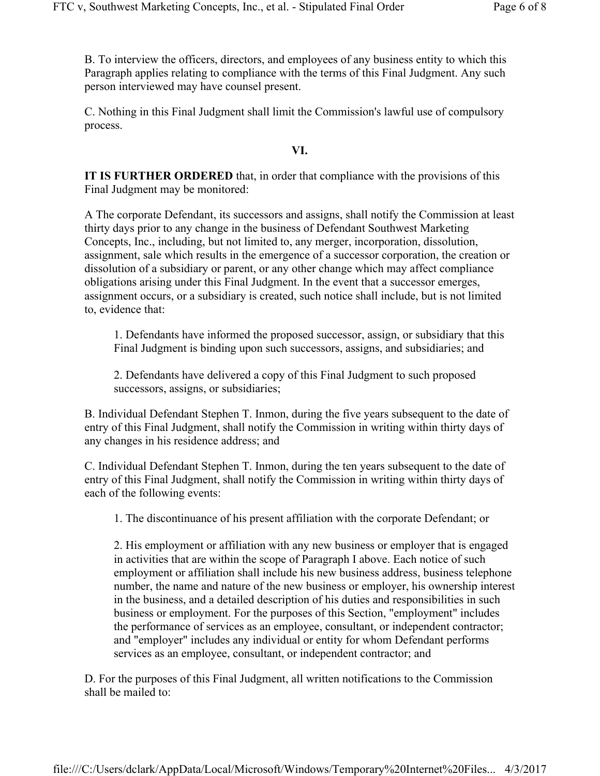B. To interview the officers, directors, and employees of any business entity to which this Paragraph applies relating to compliance with the terms of this Final Judgment. Any such person interviewed may have counsel present.

C. Nothing in this Final Judgment shall limit the Commission's lawful use of compulsory process.

#### **VI.**

**IT IS FURTHER ORDERED** that, in order that compliance with the provisions of this Final Judgment may be monitored:

A The corporate Defendant, its successors and assigns, shall notify the Commission at least thirty days prior to any change in the business of Defendant Southwest Marketing Concepts, Inc., including, but not limited to, any merger, incorporation, dissolution, assignment, sale which results in the emergence of a successor corporation, the creation or dissolution of a subsidiary or parent, or any other change which may affect compliance obligations arising under this Final Judgment. In the event that a successor emerges, assignment occurs, or a subsidiary is created, such notice shall include, but is not limited to, evidence that:

1. Defendants have informed the proposed successor, assign, or subsidiary that this Final Judgment is binding upon such successors, assigns, and subsidiaries; and

2. Defendants have delivered a copy of this Final Judgment to such proposed successors, assigns, or subsidiaries;

B. Individual Defendant Stephen T. Inmon, during the five years subsequent to the date of entry of this Final Judgment, shall notify the Commission in writing within thirty days of any changes in his residence address; and

C. Individual Defendant Stephen T. Inmon, during the ten years subsequent to the date of entry of this Final Judgment, shall notify the Commission in writing within thirty days of each of the following events:

1. The discontinuance of his present affiliation with the corporate Defendant; or

2. His employment or affiliation with any new business or employer that is engaged in activities that are within the scope of Paragraph I above. Each notice of such employment or affiliation shall include his new business address, business telephone number, the name and nature of the new business or employer, his ownership interest in the business, and a detailed description of his duties and responsibilities in such business or employment. For the purposes of this Section, "employment" includes the performance of services as an employee, consultant, or independent contractor; and "employer" includes any individual or entity for whom Defendant performs services as an employee, consultant, or independent contractor; and

D. For the purposes of this Final Judgment, all written notifications to the Commission shall be mailed to: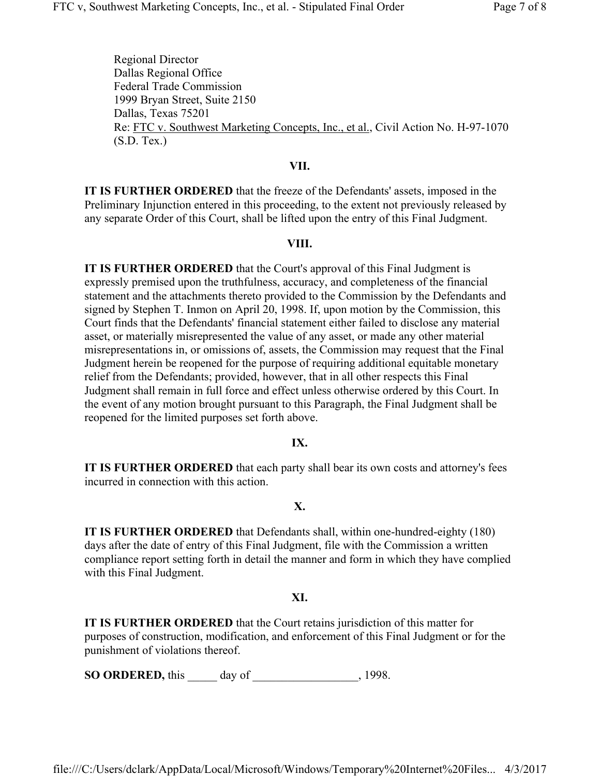Regional Director Dallas Regional Office Federal Trade Commission 1999 Bryan Street, Suite 2150 Dallas, Texas 75201 Re: FTC v. Southwest Marketing Concepts, Inc., et al., Civil Action No. H-97-1070 (S.D. Tex.)

### **VII.**

**IT IS FURTHER ORDERED** that the freeze of the Defendants' assets, imposed in the Preliminary Injunction entered in this proceeding, to the extent not previously released by any separate Order of this Court, shall be lifted upon the entry of this Final Judgment.

### **VIII.**

**IT IS FURTHER ORDERED** that the Court's approval of this Final Judgment is expressly premised upon the truthfulness, accuracy, and completeness of the financial statement and the attachments thereto provided to the Commission by the Defendants and signed by Stephen T. Inmon on April 20, 1998. If, upon motion by the Commission, this Court finds that the Defendants' financial statement either failed to disclose any material asset, or materially misrepresented the value of any asset, or made any other material misrepresentations in, or omissions of, assets, the Commission may request that the Final Judgment herein be reopened for the purpose of requiring additional equitable monetary relief from the Defendants; provided, however, that in all other respects this Final Judgment shall remain in full force and effect unless otherwise ordered by this Court. In the event of any motion brought pursuant to this Paragraph, the Final Judgment shall be reopened for the limited purposes set forth above.

## **IX.**

**IT IS FURTHER ORDERED** that each party shall bear its own costs and attorney's fees incurred in connection with this action.

## **X.**

**IT IS FURTHER ORDERED** that Defendants shall, within one-hundred-eighty (180) days after the date of entry of this Final Judgment, file with the Commission a written compliance report setting forth in detail the manner and form in which they have complied with this Final Judgment.

## **XI.**

**IT IS FURTHER ORDERED** that the Court retains jurisdiction of this matter for purposes of construction, modification, and enforcement of this Final Judgment or for the punishment of violations thereof.

**SO ORDERED,** this day of  $\qquad \qquad$ , 1998.